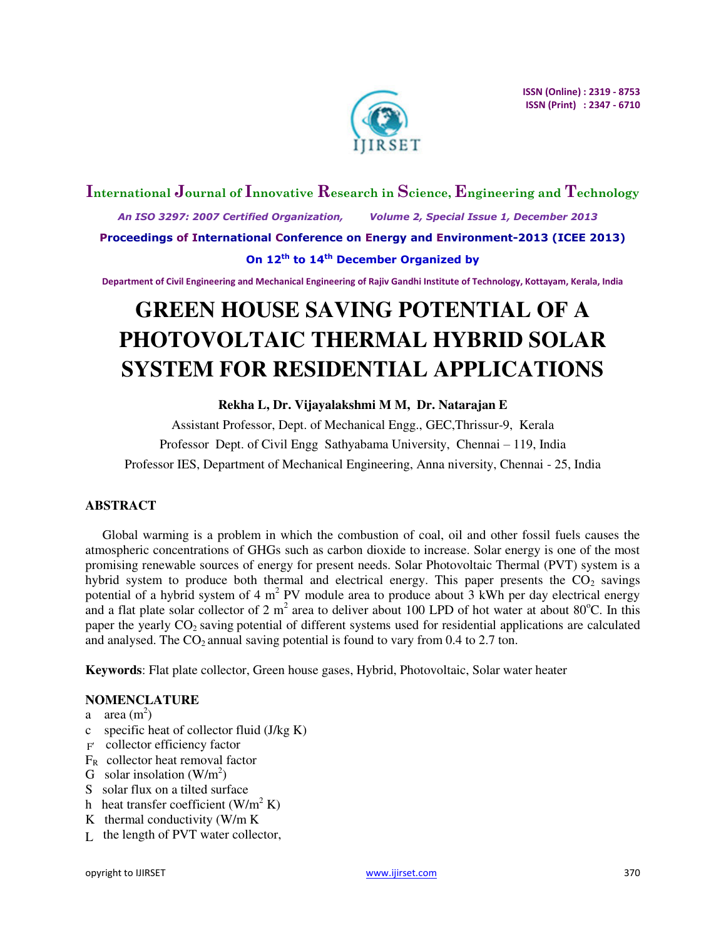

# **International Journal of Innovative Research in Science, Engineering and Technology**  *An ISO 3297: 2007 Certified Organization, Volume 2, Special Issue 1, December 2013*  **Proceedings of International Conference on Energy and Environment-2013 (ICEE 2013) On 12th to 14th December Organized by**

**Department of Civil Engineering and Mechanical Engineering of Rajiv Gandhi Institute of Technology, Kottayam, Kerala, India** 

# **GREEN HOUSE SAVING POTENTIAL OF A PHOTOVOLTAIC THERMAL HYBRID SOLAR SYSTEM FOR RESIDENTIAL APPLICATIONS**

**Rekha L, Dr. Vijayalakshmi M M, Dr. Natarajan E** 

Assistant Professor, Dept. of Mechanical Engg., GEC,Thrissur-9, Kerala Professor Dept. of Civil Engg Sathyabama University, Chennai – 119, India Professor IES, Department of Mechanical Engineering, Anna niversity, Chennai - 25, India

# **ABSTRACT**

Global warming is a problem in which the combustion of coal, oil and other fossil fuels causes the atmospheric concentrations of GHGs such as carbon dioxide to increase. Solar energy is one of the most promising renewable sources of energy for present needs. Solar Photovoltaic Thermal (PVT) system is a hybrid system to produce both thermal and electrical energy. This paper presents the  $CO<sub>2</sub>$  savings potential of a hybrid system of 4  $m^2$  PV module area to produce about 3 kWh per day electrical energy and a flat plate solar collector of 2  $m^2$  area to deliver about 100 LPD of hot water at about 80 $^{\circ}$ C. In this paper the yearly  $CO_2$  saving potential of different systems used for residential applications are calculated and analysed. The  $CO<sub>2</sub>$  annual saving potential is found to vary from 0.4 to 2.7 ton.

**Keywords**: Flat plate collector, Green house gases, Hybrid, Photovoltaic, Solar water heater

# **NOMENCLATURE**

- a area  $(m^2)$
- c specific heat of collector fluid (J/kg K)
- F collector efficiency factor
- $F_R$  collector heat removal factor
- G solar insolation  $(W/m^2)$
- S solar flux on a tilted surface
- h heat transfer coefficient  $(W/m^2 K)$
- K thermal conductivity (W/m K
- $L$  the length of PVT water collector,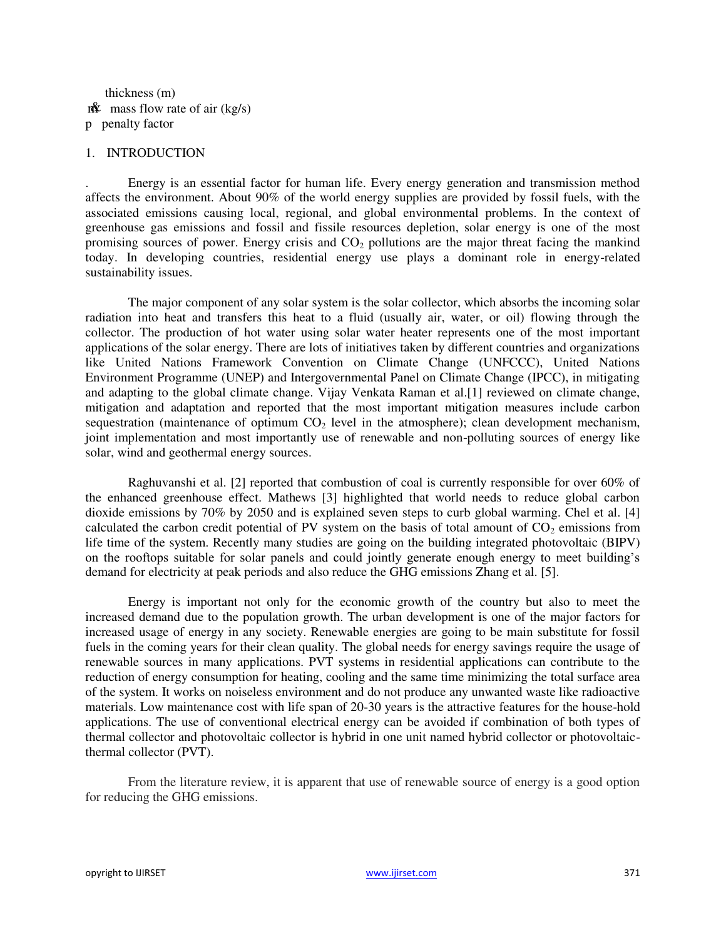thickness (m)  $m\mathbf{\hat{x}}$  mass flow rate of air (kg/s) p penalty factor

#### 1. INTRODUCTION

. Energy is an essential factor for human life. Every energy generation and transmission method affects the environment. About 90% of the world energy supplies are provided by fossil fuels, with the associated emissions causing local, regional, and global environmental problems. In the context of greenhouse gas emissions and fossil and fissile resources depletion, solar energy is one of the most promising sources of power. Energy crisis and  $CO<sub>2</sub>$  pollutions are the major threat facing the mankind today. In developing countries, residential energy use plays a dominant role in energy-related sustainability issues.

 The major component of any solar system is the solar collector, which absorbs the incoming solar radiation into heat and transfers this heat to a fluid (usually air, water, or oil) flowing through the collector. The production of hot water using solar water heater represents one of the most important applications of the solar energy. There are lots of initiatives taken by different countries and organizations like United Nations Framework Convention on Climate Change (UNFCCC), United Nations Environment Programme (UNEP) and Intergovernmental Panel on Climate Change (IPCC), in mitigating and adapting to the global climate change. Vijay Venkata Raman et al.[1] reviewed on climate change, mitigation and adaptation and reported that the most important mitigation measures include carbon sequestration (maintenance of optimum  $CO<sub>2</sub>$  level in the atmosphere); clean development mechanism, joint implementation and most importantly use of renewable and non-polluting sources of energy like solar, wind and geothermal energy sources.

Raghuvanshi et al. [2] reported that combustion of coal is currently responsible for over 60% of the enhanced greenhouse effect. Mathews [3] highlighted that world needs to reduce global carbon dioxide emissions by 70% by 2050 and is explained seven steps to curb global warming. Chel et al. [4] calculated the carbon credit potential of PV system on the basis of total amount of  $CO<sub>2</sub>$  emissions from life time of the system. Recently many studies are going on the building integrated photovoltaic (BIPV) on the rooftops suitable for solar panels and could jointly generate enough energy to meet building's demand for electricity at peak periods and also reduce the GHG emissions Zhang et al. [5].

 Energy is important not only for the economic growth of the country but also to meet the increased demand due to the population growth. The urban development is one of the major factors for increased usage of energy in any society. Renewable energies are going to be main substitute for fossil fuels in the coming years for their clean quality. The global needs for energy savings require the usage of renewable sources in many applications. PVT systems in residential applications can contribute to the reduction of energy consumption for heating, cooling and the same time minimizing the total surface area of the system. It works on noiseless environment and do not produce any unwanted waste like radioactive materials. Low maintenance cost with life span of 20-30 years is the attractive features for the house-hold applications. The use of conventional electrical energy can be avoided if combination of both types of thermal collector and photovoltaic collector is hybrid in one unit named hybrid collector or photovoltaicthermal collector (PVT).

From the literature review, it is apparent that use of renewable source of energy is a good option for reducing the GHG emissions.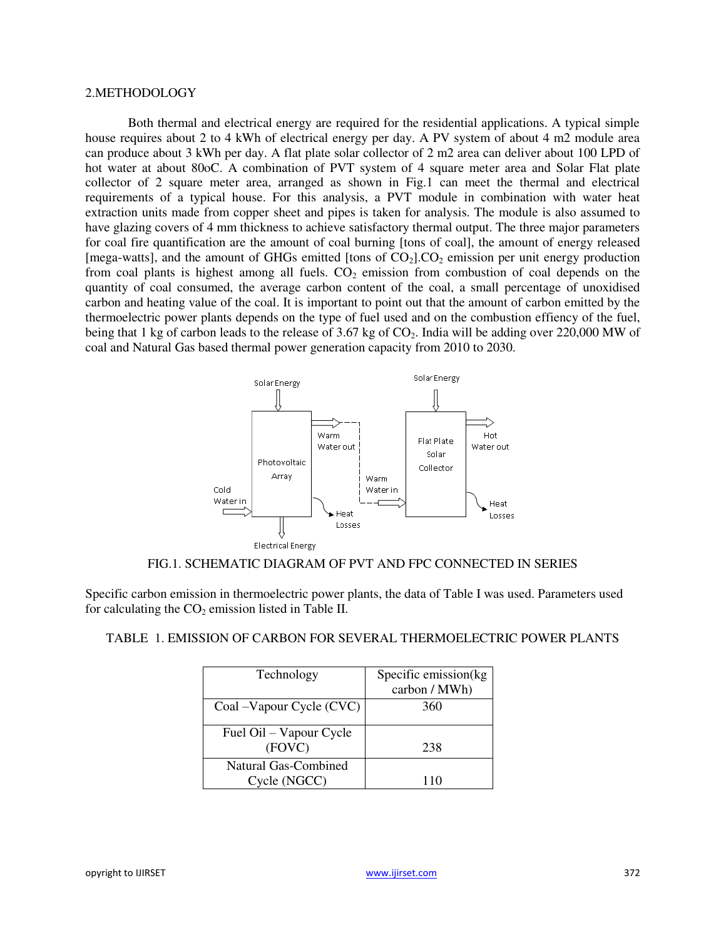## 2.METHODOLOGY

 Both thermal and electrical energy are required for the residential applications. A typical simple house requires about 2 to 4 kWh of electrical energy per day. A PV system of about 4 m2 module area can produce about 3 kWh per day. A flat plate solar collector of 2 m2 area can deliver about 100 LPD of hot water at about 80oC. A combination of PVT system of 4 square meter area and Solar Flat plate collector of 2 square meter area, arranged as shown in Fig.1 can meet the thermal and electrical requirements of a typical house. For this analysis, a PVT module in combination with water heat extraction units made from copper sheet and pipes is taken for analysis. The module is also assumed to have glazing covers of 4 mm thickness to achieve satisfactory thermal output. The three major parameters for coal fire quantification are the amount of coal burning [tons of coal], the amount of energy released [mega-watts], and the amount of GHGs emitted [tons of  $CO<sub>2</sub>$ ].CO<sub>2</sub> emission per unit energy production from coal plants is highest among all fuels.  $CO<sub>2</sub>$  emission from combustion of coal depends on the quantity of coal consumed, the average carbon content of the coal, a small percentage of unoxidised carbon and heating value of the coal. It is important to point out that the amount of carbon emitted by the thermoelectric power plants depends on the type of fuel used and on the combustion effiency of the fuel, being that 1 kg of carbon leads to the release of 3.67 kg of  $CO<sub>2</sub>$ . India will be adding over 220,000 MW of coal and Natural Gas based thermal power generation capacity from 2010 to 2030.



#### FIG.1. SCHEMATIC DIAGRAM OF PVT AND FPC CONNECTED IN SERIES

Specific carbon emission in thermoelectric power plants, the data of Table I was used. Parameters used for calculating the  $CO<sub>2</sub>$  emission listed in Table II.

| Technology                           | Specific emission(kg<br>carbon / MWh) |
|--------------------------------------|---------------------------------------|
| Coal –Vapour Cycle (CVC)             | 360                                   |
| Fuel Oil – Vapour Cycle<br>(FOVC)    | 238                                   |
| Natural Gas-Combined<br>Cycle (NGCC) | 110                                   |

# TABLE 1. EMISSION OF CARBON FOR SEVERAL THERMOELECTRIC POWER PLANTS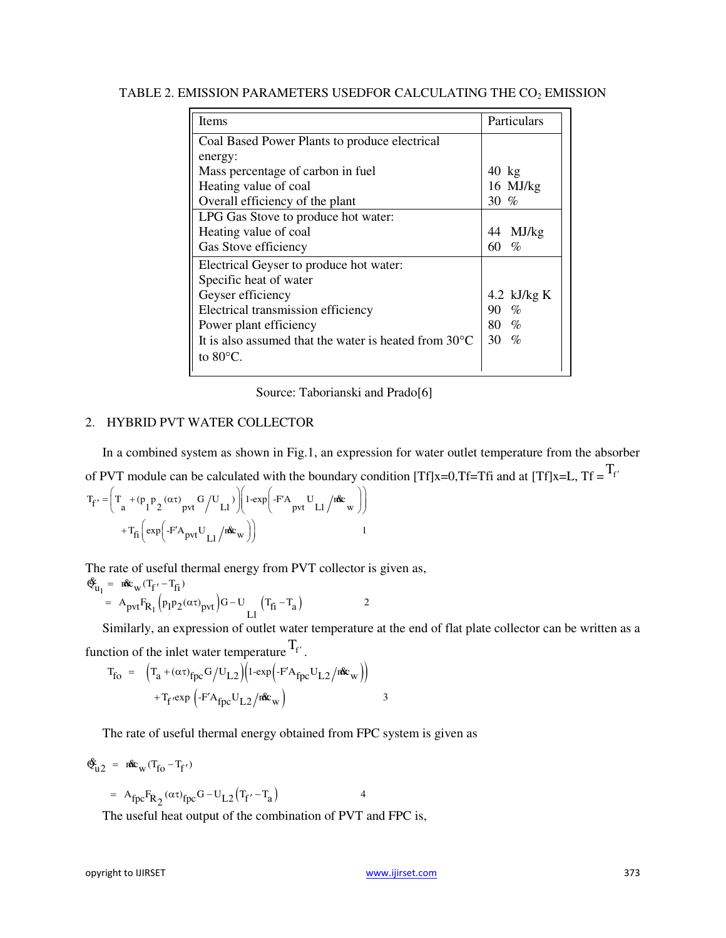| <b>Items</b>                                                    | Particulars   |
|-----------------------------------------------------------------|---------------|
| Coal Based Power Plants to produce electrical                   |               |
| energy:                                                         |               |
| Mass percentage of carbon in fuel.                              | 40 kg         |
| Heating value of coal                                           | 16 MJ/kg      |
| Overall efficiency of the plant                                 | 30 %          |
| LPG Gas Stove to produce hot water:                             |               |
| Heating value of coal                                           | MJ/kg<br>44   |
| Gas Stove efficiency                                            | 60.<br>$\%$   |
| Electrical Geyser to produce hot water:                         |               |
| Specific heat of water                                          |               |
| Geyser efficiency                                               | 4.2 $kJ/kg K$ |
| Electrical transmission efficiency                              | $\%$<br>90    |
| Power plant efficiency                                          | $\%$<br>80 -  |
| It is also assumed that the water is heated from $30^{\circ}$ C | 30 F<br>$\%$  |
| to $80^{\circ}$ C.                                              |               |

TABLE 2. EMISSION PARAMETERS USEDFOR CALCULATING THE  $CO<sub>2</sub>$  EMISSION

Source: Taborianski and Prado[6]

## 2. HYBRID PVT WATER COLLECTOR

In a combined system as shown in Fig.1, an expression for water outlet temperature from the absorber of PVT module can be calculated with the boundary condition [Tf]x=0,Tf=Tfi and at [Tf]x=L, Tf =  $T_f$ <sup>T</sup>

$$
T_{f'} = \left(T_a + (p_1 p_2 (\alpha \tau)_{pvt} G/U_{L1})\right) \left(1 - \exp\left(-F'A_{pvt} U_{L1} / n\&w\right)\right)
$$

$$
+ T_{fi} \left(\exp\left(-F'A_{pvt} U_{L1} / n\&w\right)\right)
$$
1

The rate of useful thermal energy from PVT collector is given as,

$$
\begin{aligned} \mathfrak{E}_{u_1} &= \mathbf{r} \mathfrak{E}_{w} (T_{f'} - T_{fi}) \\ &= A_{pvt} F_{R_1} \left( p_1 p_2 (\alpha \tau)_{pvt} \right) G - U_{LI} \left( T_{fi} - T_a \right) \end{aligned} \tag{2}
$$

Similarly, an expression of outlet water temperature at the end of flat plate collector can be written as a function of the inlet water temperature  $T_f$ .

$$
T_{\text{fo}} = \left( T_a + (\alpha \tau)_{\text{fpc}} G / U_{L2} \right) \left( 1 - \exp \left( -F' A_{\text{fpc}} U_{L2} / n \mathbf{\hat{x}}_{\text{w}} \right) \right)
$$

$$
+ T_{\text{f}} \exp \left( -F' A_{\text{fpc}} U_{L2} / n \mathbf{\hat{x}}_{\text{w}} \right)
$$
3

The rate of useful thermal energy obtained from FPC system is given as

$$
\mathbf{\hat{E}}_{u2} = \mathbf{n} \mathbf{\hat{E}}_{w} (\mathbf{T}_{fo} - \mathbf{T}_{f'})
$$

$$
= A_{fpc} F_{R_2} (\alpha \tau)_{fpc} G - U_{L2} (T_{f'} - T_a)
$$

The useful heat output of the combination of PVT and FPC is,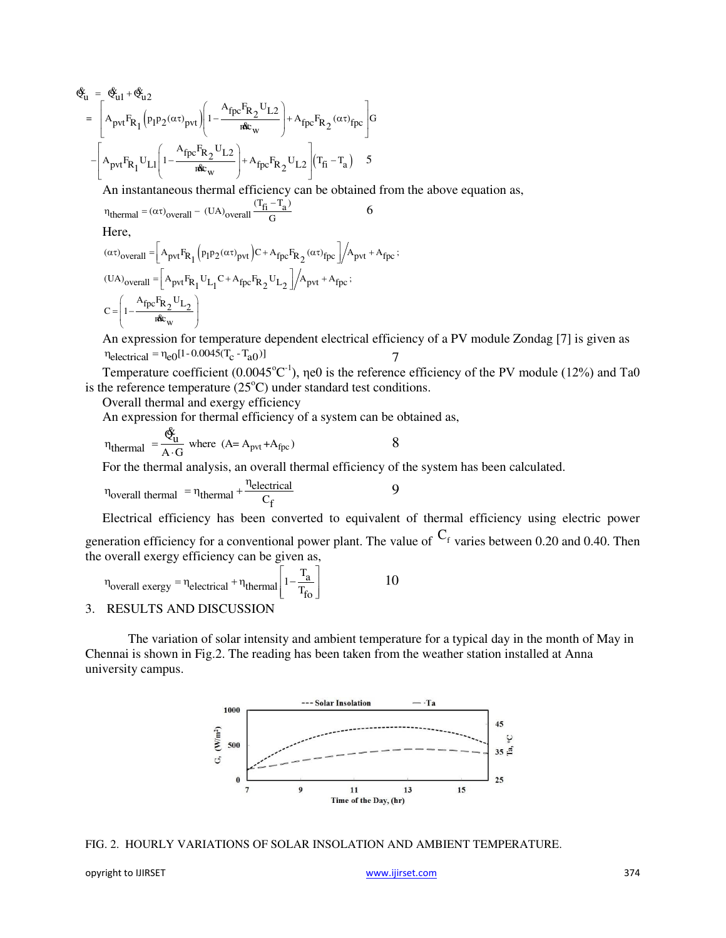$$
\begin{split} \hat{\mathfrak{E}}_{u}^{c} & = \left[ \hat{\mathfrak{E}}_{u1} + \hat{\mathfrak{E}}_{u2}^{c} \right] \\ & = \left[ A_{pvt} F_{R_{1}} \left( p_{1} p_{2} (\alpha \tau)_{pvt} \right) \left( 1 - \frac{A_{fpc} F_{R_{2}} U_{L2}}{\alpha \epsilon_{w}} \right) + A_{fpc} F_{R_{2}} (\alpha \tau)_{fpc} \right] G \\ & - \left[ A_{pvt} F_{R_{1}} U_{L1} \left( 1 - \frac{A_{fpc} F_{R_{2}} U_{L2}}{\alpha \epsilon_{w}} \right) + A_{fpc} F_{R_{2}} U_{L2} \right] (T_{fi} - T_{a}) \end{split}
$$

An instantaneous thermal efficiency can be obtained from the above equation as,

$$
\eta_{\text{thermal}} = (\alpha \tau)_{\text{overall}} - (\text{UA})_{\text{overall}} \frac{(T_{\text{fi}} - T_{\text{a}})}{G} \tag{6}
$$

Here,

$$
(\alpha \tau)_{\text{overall}} = \left[ A_{\text{pvt}} F_{R_1} (p_1 p_2 (\alpha \tau)_{\text{pvt}}) C + A_{\text{fpc}} F_{R_2} (\alpha \tau)_{\text{fpc}} \right] / A_{\text{pvt}} + A_{\text{fpc}};
$$
  
\n
$$
(UA)_{\text{overall}} = \left[ A_{\text{pvt}} F_{R_1} U_{L_1} C + A_{\text{fpc}} F_{R_2} U_{L_2} \right] / A_{\text{pvt}} + A_{\text{fpc}};
$$
  
\n
$$
C = \left( 1 - \frac{A_{\text{fpc}} F_{R_2} U_{L_2}}{\text{rfc}_w} \right)
$$

An expression for temperature dependent electrical efficiency of a PV module Zondag [7] is given as  $\eta_{\text{electrical}} = \eta_{\text{e}0} [1 - 0.0045(T_{\text{c}} - T_{\text{a}0})]$ 

Temperature coefficient (0.0045 $^{\circ}$ C<sup>-1</sup>),  $\eta$ e0 is the reference efficiency of the PV module (12%) and Ta0 is the reference temperature  $(25^{\circ}C)$  under standard test conditions.

Overall thermal and exergy efficiency

An expression for thermal efficiency of a system can be obtained as, &

$$
\eta_{\text{thermal}} = \frac{\mathfrak{E}_{\text{u}}}{A \cdot G} \text{ where } (A = A_{\text{pvt}} + A_{\text{fpc}}) \tag{8}
$$

For the thermal analysis, an overall thermal efficiency of the system has been calculated.

$$
\eta_{\text{overall thermal}} = \eta_{\text{thermal}} + \frac{\eta_{\text{electrical}}}{C_{\text{f}}}
$$

Electrical efficiency has been converted to equivalent of thermal efficiency using electric power generation efficiency for a conventional power plant. The value of  $C_f$  varies between 0.20 and 0.40. Then the overall exergy efficiency can be given as,

 $\overline{Q}$ 

$$
\eta_{\text{overall exergy}} = \eta_{\text{electrical}} + \eta_{\text{thermal}} \left[ 1 - \frac{T_{\text{a}}}{T_{\text{fo}}} \right]
$$
 10

#### 3. RESULTS AND DISCUSSION

 The variation of solar intensity and ambient temperature for a typical day in the month of May in Chennai is shown in Fig.2. The reading has been taken from the weather station installed at Anna university campus.



FIG. 2. HOURLY VARIATIONS OF SOLAR INSOLATION AND AMBIENT TEMPERATURE.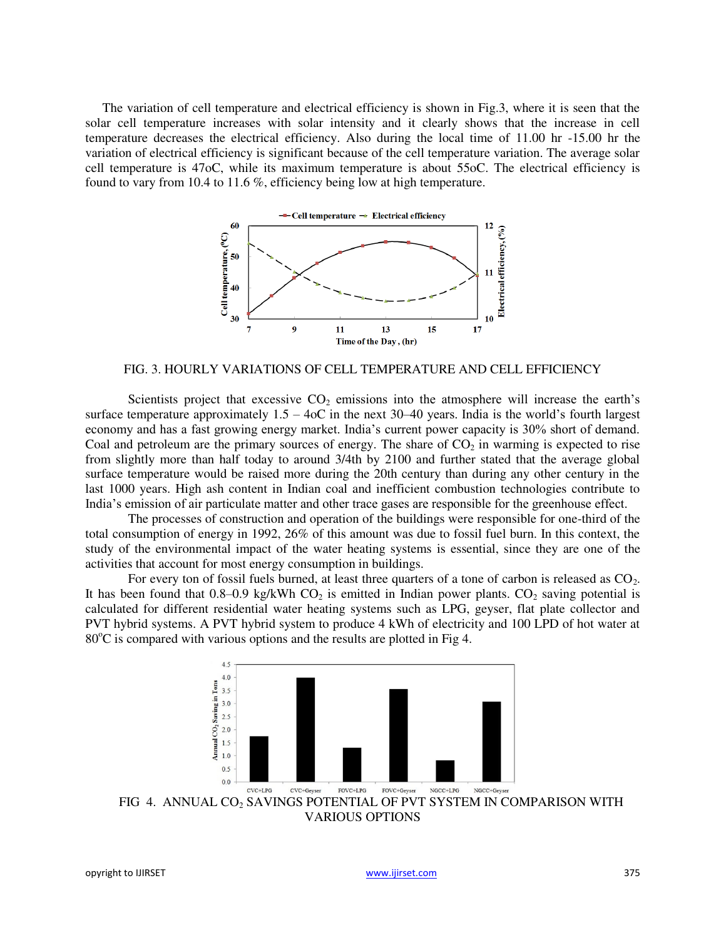The variation of cell temperature and electrical efficiency is shown in Fig.3, where it is seen that the solar cell temperature increases with solar intensity and it clearly shows that the increase in cell temperature decreases the electrical efficiency. Also during the local time of 11.00 hr -15.00 hr the variation of electrical efficiency is significant because of the cell temperature variation. The average solar cell temperature is 47oC, while its maximum temperature is about 55oC. The electrical efficiency is found to vary from 10.4 to 11.6 %, efficiency being low at high temperature.



FIG. 3. HOURLY VARIATIONS OF CELL TEMPERATURE AND CELL EFFICIENCY

Scientists project that excessive  $CO<sub>2</sub>$  emissions into the atmosphere will increase the earth's surface temperature approximately  $1.5 - 4$ oC in the next 30–40 years. India is the world's fourth largest economy and has a fast growing energy market. India's current power capacity is 30% short of demand. Coal and petroleum are the primary sources of energy. The share of  $CO<sub>2</sub>$  in warming is expected to rise from slightly more than half today to around 3/4th by 2100 and further stated that the average global surface temperature would be raised more during the 20th century than during any other century in the last 1000 years. High ash content in Indian coal and inefficient combustion technologies contribute to India's emission of air particulate matter and other trace gases are responsible for the greenhouse effect.

 The processes of construction and operation of the buildings were responsible for one-third of the total consumption of energy in 1992, 26% of this amount was due to fossil fuel burn. In this context, the study of the environmental impact of the water heating systems is essential, since they are one of the activities that account for most energy consumption in buildings.

For every ton of fossil fuels burned, at least three quarters of a tone of carbon is released as  $CO<sub>2</sub>$ . It has been found that  $0.8{\text -}0.9$  kg/kWh CO<sub>2</sub> is emitted in Indian power plants. CO<sub>2</sub> saving potential is calculated for different residential water heating systems such as LPG, geyser, flat plate collector and PVT hybrid systems. A PVT hybrid system to produce 4 kWh of electricity and 100 LPD of hot water at  $80^{\circ}$ C is compared with various options and the results are plotted in Fig 4.



FIG 4. ANNUAL CO<sub>2</sub> SAVINGS POTENTIAL OF PVT SYSTEM IN COMPARISON WITH VARIOUS OPTIONS